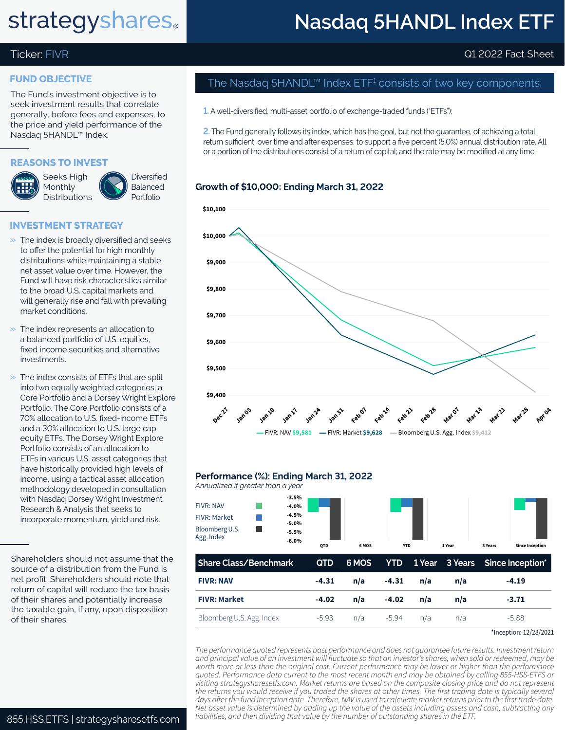# **strategyshares**.

### **Nasdaq 5HANDL Index ETF**

### Ticker: FIVR Q1 2022 Fact Sheet

#### **FUND OBJECTIVE**

The Fund's investment objective is to seek investment results that correlate generally, before fees and expenses, to the price and yield performance of the Nasdaq 5HANDL™ Index.

#### **REASONS TO INVEST**



**Diversified** Balanced Portfolio

#### **INVESTMENT STRATEGY**

- $\gg$  The index is broadly diversified and seeks to offer the potential for high monthly distributions while maintaining a stable net asset value over time. However, the Fund will have risk characteristics similar to the broad U.S. capital markets and will generally rise and fall with prevailing market conditions.
- $\gg$  The index represents an allocation to a balanced portfolio of U.S. equities, fixed income securities and alternative investments.
- $\gg$  The index consists of ETFs that are split into two equally weighted categories, a Core Portfolio and a Dorsey Wright Explore Portfolio. The Core Portfolio consists of a 70% allocation to U.S. fixed-income ETFs and a 30% allocation to U.S. large cap equity ETFs. The Dorsey Wright Explore Portfolio consists of an allocation to ETFs in various U.S. asset categories that have historically provided high levels of income, using a tactical asset allocation methodology developed in consultation with Nasdaq Dorsey Wright Investment Research & Analysis that seeks to incorporate momentum, yield and risk.

Shareholders should not assume that the source of a distribution from the Fund is net profit. Shareholders should note that return of capital will reduce the tax basis of their shares and potentially increase the taxable gain, if any, upon disposition of their shares.

### The Nasdaq 5HANDL™ Index ETF $^{\rm 1}$  consists of two key components:

**1.** A well-diversified, multi-asset portfolio of exchange-traded funds ("ETFs");

**2.** The Fund generally follows its index, which has the goal, but not the guarantee, of achieving a total return sufficient, over time and after expenses, to support a five percent (5.0%) annual distribution rate. All or a portion of the distributions consist of a return of capital; and the rate may be modified at any time.

#### **Growth of \$10,000: Ending March 31, 2022**



#### **Performance (%): Ending March 31, 2022**

*Annualized if greater than a year* FIVR: NAV FIVR: Market Bloomberg U.S. Agg. Index **-6.0% -5.0% -6.0% -5.5% -4.5% -4.0% -3.5% QTD 6 MOS YTD L 1 Year 3 Years Since Inception**

| Share Class/Benchmark     |         |     |           |     |     | QTD 6 MOS YTD 1 Year 3 Years Since Inception* |
|---------------------------|---------|-----|-----------|-----|-----|-----------------------------------------------|
| <b>FIVR: NAV</b>          | $-4.31$ | n/a | $-4.31$   | n/a | n/a | $-4.19$                                       |
| <b>FIVR: Market</b>       | $-4.02$ | n/a | -4.02     | n/a | n/a | $-3.71$                                       |
| Bloomberg U.S. Agg. Index | $-5.93$ |     | n/a -5.94 | n/a | n/a | -5.88                                         |

\*Inception: 12/28/2021

*The performance quoted represents past performance and does not guarantee future results. Investment return and principal value of an investment will fluctuate so that an investor's shares, when sold or redeemed, may be worth more or less than the original cost. Current performance may be lower or higher than the performance quoted. Performance data current to the most recent month end may be obtained by calling 855-HSS-ETFS or visiting strategysharesetfs.com. Market returns are based on the composite closing price and do not represent the returns you would receive if you traded the shares at other times. The first trading date is typically several days after the fund inception date. Therefore, NAV is used to calculate market returns prior to the first trade date. Net asset value is determined by adding up the value of the assets including assets and cash, subtracting any*  855.HSS.ETFS | strategysharesetfs.com | liabilities, and then dividing that value by the number of outstanding shares in the ETF.